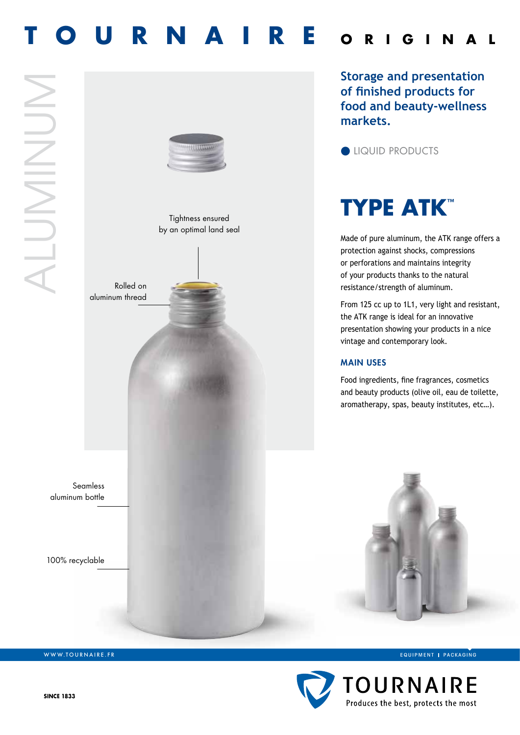# **OURNAIRE** ORIGIN



WWW.TOURNAIRE.FR

EQUIPMENT | PACKAGING

Made of pure aluminum, the ATK range offers a

**Storage and presentation of finished products for food and beauty-wellness** 

From 125 cc up to 1L1, very light and resistant,

Food ingredients, fine fragrances, cosmetics and beauty products (olive oil, eau de toilette, aromatherapy, spas, beauty institutes, etc…).

protection against shocks, compressions or perforations and maintains integrity of your products thanks to the natural resistance/strength of aluminum.

**TYPE ATK™**

**I**l QUID PRODUCTS

**markets.**

the ATK range is ideal for an innovative presentation showing your products in a nice

vintage and contemporary look.

Main uses